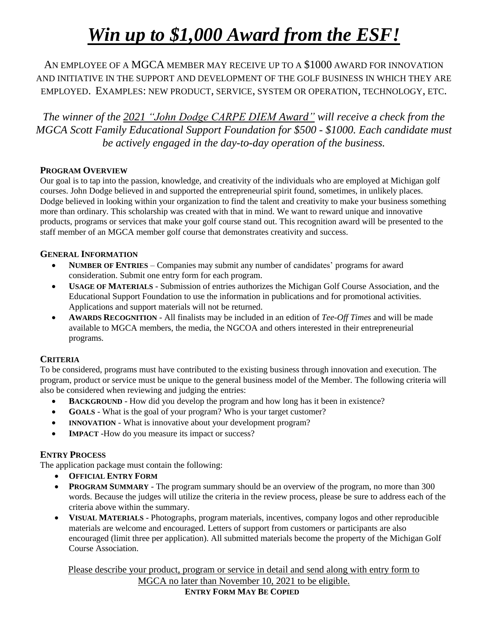# *Win up to \$1,000 Award from the ESF!*

AN EMPLOYEE OF A MGCA MEMBER MAY RECEIVE UP TO A \$1000 AWARD FOR INNOVATION AND INITIATIVE IN THE SUPPORT AND DEVELOPMENT OF THE GOLF BUSINESS IN WHICH THEY ARE EMPLOYED. EXAMPLES: NEW PRODUCT, SERVICE, SYSTEM OR OPERATION, TECHNOLOGY, ETC.

*The winner of the 2021 "John Dodge CARPE DIEM Award" will receive a check from the MGCA Scott Family Educational Support Foundation for \$500 - \$1000. Each candidate must be actively engaged in the day-to-day operation of the business.* 

#### **PROGRAM OVERVIEW**

Our goal is to tap into the passion, knowledge, and creativity of the individuals who are employed at Michigan golf courses. John Dodge believed in and supported the entrepreneurial spirit found, sometimes, in unlikely places. Dodge believed in looking within your organization to find the talent and creativity to make your business something more than ordinary. This scholarship was created with that in mind. We want to reward unique and innovative products, programs or services that make your golf course stand out. This recognition award will be presented to the staff member of an MGCA member golf course that demonstrates creativity and success.

#### **GENERAL INFORMATION**

- NUMBER OF ENTRIES Companies may submit any number of candidates' programs for award consideration. Submit one entry form for each program.
- **USAGE OF MATERIALS** Submission of entries authorizes the Michigan Golf Course Association, and the Educational Support Foundation to use the information in publications and for promotional activities. Applications and support materials will not be returned.
- **AWARDS RECOGNITION** All finalists may be included in an edition of *Tee-Off Times* and will be made available to MGCA members, the media, the NGCOA and others interested in their entrepreneurial programs.

#### **CRITERIA**

To be considered, programs must have contributed to the existing business through innovation and execution. The program, product or service must be unique to the general business model of the Member. The following criteria will also be considered when reviewing and judging the entries:

- **BACKGROUND** How did you develop the program and how long has it been in existence?
- **GOALS** What is the goal of your program? Who is your target customer?
- **INNOVATION** What is innovative about your development program?
- **IMPACT** -How do you measure its impact or success?

#### **ENTRY PROCESS**

The application package must contain the following:

- **OFFICIAL ENTRY FORM**
- **PROGRAM SUMMARY** The program summary should be an overview of the program, no more than 300 words. Because the judges will utilize the criteria in the review process, please be sure to address each of the criteria above within the summary.
- VISUAL MATERIALS Photographs, program materials, incentives, company logos and other reproducible materials are welcome and encouraged. Letters of support from customers or participants are also encouraged (limit three per application). All submitted materials become the property of the Michigan Golf Course Association.

Please describe your product, program or service in detail and send along with entry form to MGCA no later than November 10, 2021 to be eligible.